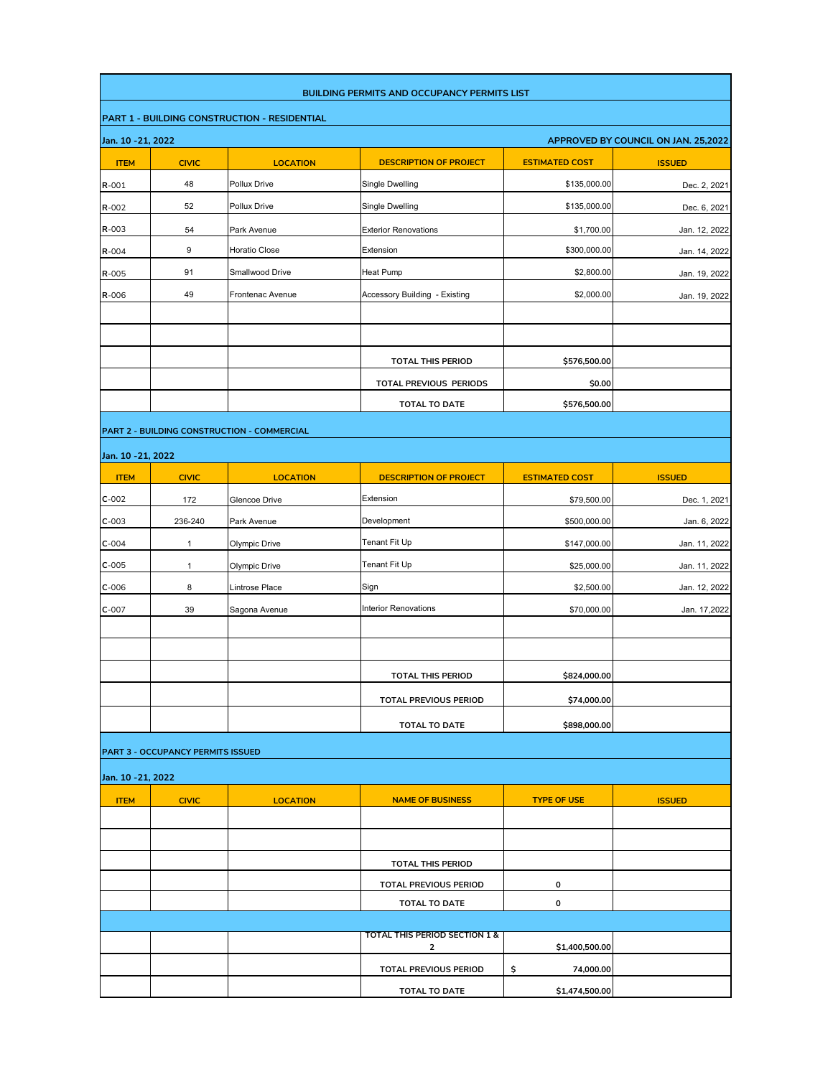|                    |                                                           |                                                     | <b>BUILDING PERMITS AND OCCUPANCY PERMITS LIST</b>       |                       |               |  |  |  |
|--------------------|-----------------------------------------------------------|-----------------------------------------------------|----------------------------------------------------------|-----------------------|---------------|--|--|--|
|                    |                                                           | <b>PART 1 - BUILDING CONSTRUCTION - RESIDENTIAL</b> |                                                          |                       |               |  |  |  |
|                    | Jan. 10 - 21, 2022<br>APPROVED BY COUNCIL ON JAN. 25,2022 |                                                     |                                                          |                       |               |  |  |  |
| <b>ITEM</b>        | <b>CIVIC</b>                                              | <b>LOCATION</b>                                     | <b>DESCRIPTION OF PROJECT</b>                            | <b>ESTIMATED COST</b> | <b>ISSUED</b> |  |  |  |
| R-001              | 48                                                        | Pollux Drive                                        | Single Dwelling                                          | \$135,000.00          | Dec. 2, 2021  |  |  |  |
| $R - 002$          | 52                                                        | Pollux Drive                                        | Single Dwelling                                          | \$135,000.00          | Dec. 6, 2021  |  |  |  |
| R-003              | 54                                                        | Park Avenue                                         | <b>Exterior Renovations</b>                              | \$1,700.00            | Jan. 12, 2022 |  |  |  |
| R-004              | 9                                                         | Horatio Close                                       | Extension                                                | \$300,000.00          | Jan. 14, 2022 |  |  |  |
| R-005              | 91                                                        | Smallwood Drive                                     | Heat Pump                                                | \$2,800.00            | Jan. 19, 2022 |  |  |  |
| R-006              | 49                                                        | Frontenac Avenue                                    | Accessory Building - Existing                            | \$2,000.00            | Jan. 19, 2022 |  |  |  |
|                    |                                                           |                                                     |                                                          |                       |               |  |  |  |
|                    |                                                           |                                                     |                                                          |                       |               |  |  |  |
|                    |                                                           |                                                     | <b>TOTAL THIS PERIOD</b>                                 | \$576,500.00          |               |  |  |  |
|                    |                                                           |                                                     | TOTAL PREVIOUS PERIODS                                   | \$0.00                |               |  |  |  |
|                    |                                                           |                                                     | <b>TOTAL TO DATE</b>                                     | \$576,500.00          |               |  |  |  |
|                    |                                                           | PART 2 - BUILDING CONSTRUCTION - COMMERCIAL         |                                                          |                       |               |  |  |  |
| Jan. 10 - 21, 2022 |                                                           |                                                     |                                                          |                       |               |  |  |  |
| <b>ITEM</b>        | <b>CIVIC</b>                                              | <b>LOCATION</b>                                     | <b>DESCRIPTION OF PROJECT</b>                            | <b>ESTIMATED COST</b> | <b>ISSUED</b> |  |  |  |
| $C-002$            | 172                                                       | Glencoe Drive                                       | Extension                                                | \$79,500.00           | Dec. 1, 2021  |  |  |  |
| $C-003$            | 236-240                                                   | Park Avenue                                         | Development                                              | \$500,000.00          | Jan. 6, 2022  |  |  |  |
| $C-004$            | $\mathbf{1}$                                              | Olympic Drive                                       | Tenant Fit Up                                            | \$147,000.00          | Jan. 11, 2022 |  |  |  |
| $C-005$            | 1                                                         | Olympic Drive                                       | Tenant Fit Up                                            | \$25,000.00           | Jan. 11, 2022 |  |  |  |
| $C-006$            | 8                                                         | Lintrose Place                                      | Sign                                                     | \$2,500.00            | Jan. 12, 2022 |  |  |  |
| $C-007$            | 39                                                        | Sagona Avenue                                       | <b>Interior Renovations</b>                              | \$70,000.00           | Jan. 17,2022  |  |  |  |
|                    |                                                           |                                                     |                                                          |                       |               |  |  |  |
|                    |                                                           |                                                     |                                                          |                       |               |  |  |  |
|                    |                                                           |                                                     | TOTAL THIS PERIOD                                        | \$824,000.00          |               |  |  |  |
|                    |                                                           |                                                     | <b>TOTAL PREVIOUS PERIOD</b>                             | \$74,000.00           |               |  |  |  |
|                    |                                                           |                                                     | TOTAL TO DATE                                            | \$898,000.00          |               |  |  |  |
|                    | PART 3 - OCCUPANCY PERMITS ISSUED                         |                                                     |                                                          |                       |               |  |  |  |
|                    |                                                           |                                                     |                                                          |                       |               |  |  |  |
| Jan. 10 - 21, 2022 |                                                           |                                                     |                                                          |                       |               |  |  |  |
| <b>ITEM</b>        | <b>CIVIC</b>                                              | <b>LOCATION</b>                                     | <b>NAME OF BUSINESS</b>                                  | <b>TYPE OF USE</b>    | <b>ISSUED</b> |  |  |  |
|                    |                                                           |                                                     |                                                          |                       |               |  |  |  |
|                    |                                                           |                                                     | <b>TOTAL THIS PERIOD</b>                                 |                       |               |  |  |  |
|                    |                                                           |                                                     | TOTAL PREVIOUS PERIOD                                    | 0                     |               |  |  |  |
|                    |                                                           |                                                     | TOTAL TO DATE                                            | 0                     |               |  |  |  |
|                    |                                                           |                                                     |                                                          |                       |               |  |  |  |
|                    |                                                           |                                                     | <b>TOTAL THIS PERIOD SECTION 1 &amp;</b><br>$\mathbf{2}$ | \$1,400,500.00        |               |  |  |  |
|                    |                                                           |                                                     | TOTAL PREVIOUS PERIOD                                    | \$<br>74,000.00       |               |  |  |  |
|                    |                                                           |                                                     | TOTAL TO DATE                                            | \$1,474,500.00        |               |  |  |  |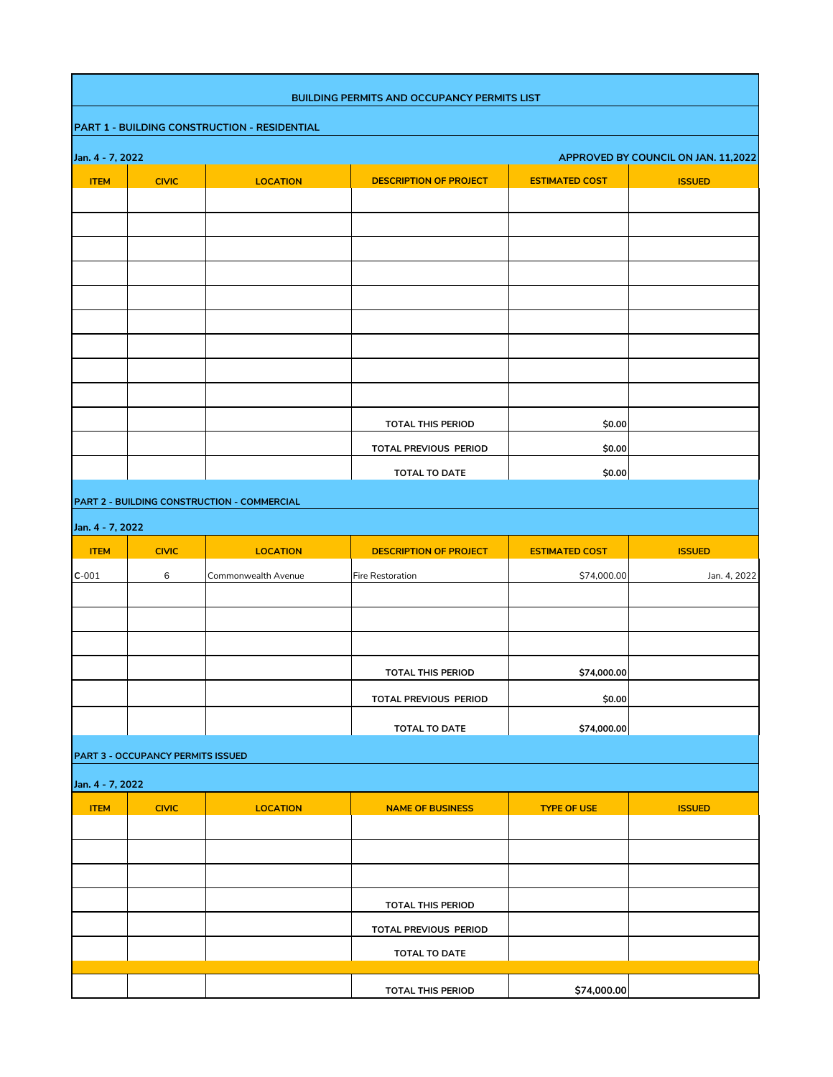|                  |                                                         |                                             | <b>BUILDING PERMITS AND OCCUPANCY PERMITS LIST</b> |                       |               |  |  |  |  |
|------------------|---------------------------------------------------------|---------------------------------------------|----------------------------------------------------|-----------------------|---------------|--|--|--|--|
|                  | PART 1 - BUILDING CONSTRUCTION - RESIDENTIAL            |                                             |                                                    |                       |               |  |  |  |  |
|                  | Jan. 4 - 7, 2022<br>APPROVED BY COUNCIL ON JAN. 11,2022 |                                             |                                                    |                       |               |  |  |  |  |
| <b>ITEM</b>      | <b>CIVIC</b>                                            | <b>LOCATION</b>                             | <b>DESCRIPTION OF PROJECT</b>                      | <b>ESTIMATED COST</b> | <b>ISSUED</b> |  |  |  |  |
|                  |                                                         |                                             |                                                    |                       |               |  |  |  |  |
|                  |                                                         |                                             |                                                    |                       |               |  |  |  |  |
|                  |                                                         |                                             |                                                    |                       |               |  |  |  |  |
|                  |                                                         |                                             |                                                    |                       |               |  |  |  |  |
|                  |                                                         |                                             |                                                    |                       |               |  |  |  |  |
|                  |                                                         |                                             |                                                    |                       |               |  |  |  |  |
|                  |                                                         |                                             |                                                    |                       |               |  |  |  |  |
|                  |                                                         |                                             |                                                    |                       |               |  |  |  |  |
|                  |                                                         |                                             |                                                    |                       |               |  |  |  |  |
|                  |                                                         |                                             | <b>TOTAL THIS PERIOD</b>                           | \$0.00                |               |  |  |  |  |
|                  |                                                         |                                             | TOTAL PREVIOUS PERIOD                              | \$0.00                |               |  |  |  |  |
|                  |                                                         |                                             | <b>TOTAL TO DATE</b>                               | \$0.00                |               |  |  |  |  |
|                  |                                                         | PART 2 - BUILDING CONSTRUCTION - COMMERCIAL |                                                    |                       |               |  |  |  |  |
| Jan. 4 - 7, 2022 |                                                         |                                             |                                                    |                       |               |  |  |  |  |
| <b>ITEM</b>      |                                                         |                                             |                                                    |                       |               |  |  |  |  |
|                  |                                                         |                                             |                                                    |                       |               |  |  |  |  |
|                  | <b>CIVIC</b>                                            | <b>LOCATION</b><br>Commonwealth Avenue      | <b>DESCRIPTION OF PROJECT</b><br>Fire Restoration  | <b>ESTIMATED COST</b> | <b>ISSUED</b> |  |  |  |  |
| $C-001$          | 6                                                       |                                             |                                                    | \$74,000.00           | Jan. 4, 2022  |  |  |  |  |
|                  |                                                         |                                             |                                                    |                       |               |  |  |  |  |
|                  |                                                         |                                             |                                                    |                       |               |  |  |  |  |
|                  |                                                         |                                             | <b>TOTAL THIS PERIOD</b>                           | \$74,000.00           |               |  |  |  |  |
|                  |                                                         |                                             | TOTAL PREVIOUS PERIOD                              |                       |               |  |  |  |  |
|                  |                                                         |                                             |                                                    | \$0.00                |               |  |  |  |  |
|                  |                                                         |                                             | TOTAL TO DATE                                      | \$74,000.00           |               |  |  |  |  |
|                  | <b>PART 3 - OCCUPANCY PERMITS ISSUED</b>                |                                             |                                                    |                       |               |  |  |  |  |
| Jan. 4 - 7, 2022 |                                                         |                                             |                                                    |                       |               |  |  |  |  |
| <b>ITEM</b>      | <b>CIVIC</b>                                            | <b>LOCATION</b>                             | <b>NAME OF BUSINESS</b>                            | <b>TYPE OF USE</b>    | <b>ISSUED</b> |  |  |  |  |
|                  |                                                         |                                             |                                                    |                       |               |  |  |  |  |
|                  |                                                         |                                             |                                                    |                       |               |  |  |  |  |
|                  |                                                         |                                             |                                                    |                       |               |  |  |  |  |
|                  |                                                         |                                             | <b>TOTAL THIS PERIOD</b>                           |                       |               |  |  |  |  |
|                  |                                                         |                                             | TOTAL PREVIOUS PERIOD                              |                       |               |  |  |  |  |
|                  |                                                         |                                             | TOTAL TO DATE                                      |                       |               |  |  |  |  |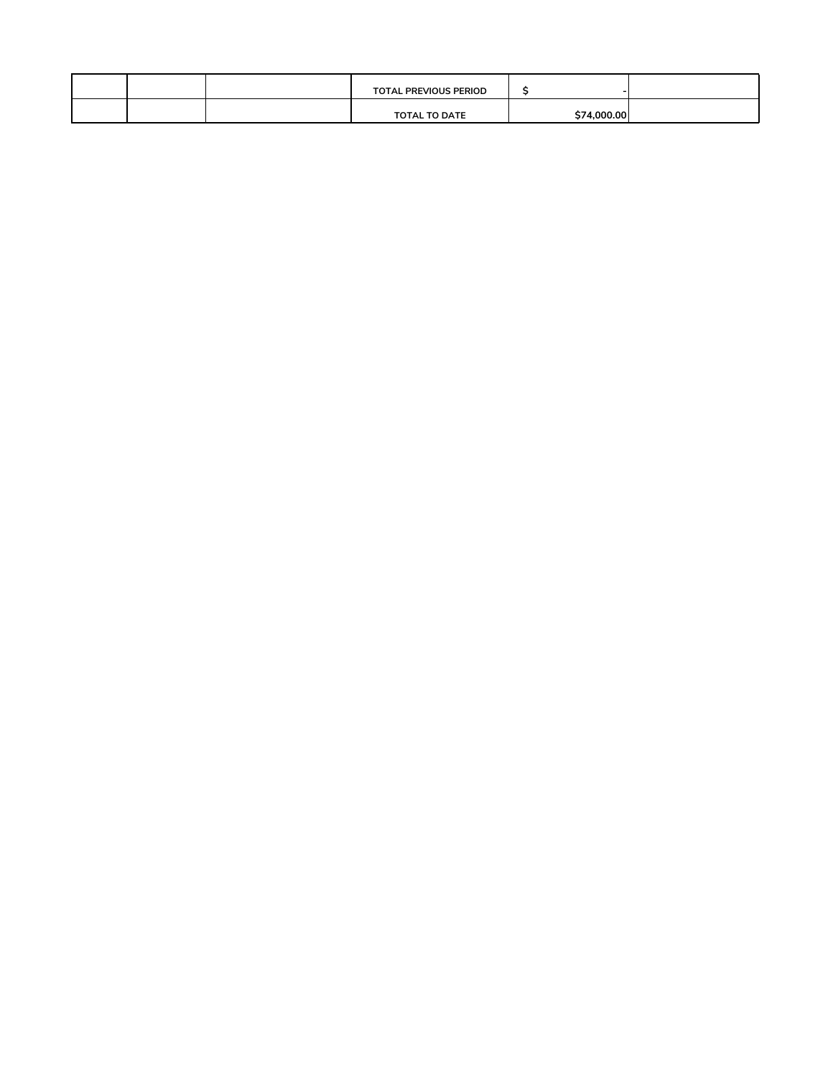|  | <b>TOTAL PREVIOUS PERIOD</b> |             |  |
|--|------------------------------|-------------|--|
|  | <b>TOTAL TO DATE</b>         | \$74,000,00 |  |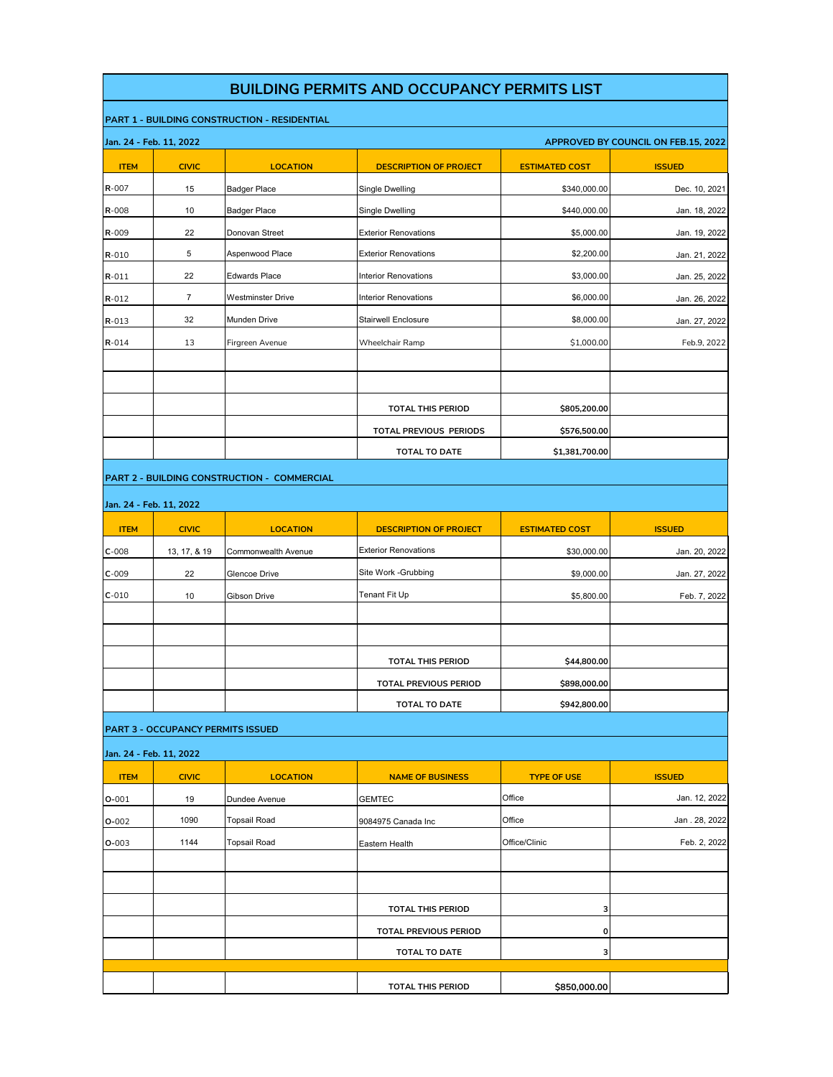|                         |                                          |                                                     | <b>BUILDING PERMITS AND OCCUPANCY PERMITS LIST</b> |                       |                                     |
|-------------------------|------------------------------------------|-----------------------------------------------------|----------------------------------------------------|-----------------------|-------------------------------------|
|                         |                                          | <b>PART 1 - BUILDING CONSTRUCTION - RESIDENTIAL</b> |                                                    |                       |                                     |
| Jan. 24 - Feb. 11, 2022 |                                          |                                                     |                                                    |                       | APPROVED BY COUNCIL ON FEB.15, 2022 |
| <b>ITEM</b>             | <b>CIVIC</b>                             | <b>LOCATION</b>                                     | <b>DESCRIPTION OF PROJECT</b>                      | <b>ESTIMATED COST</b> | <b>ISSUED</b>                       |
| R-007                   | 15                                       | Badger Place                                        | Single Dwelling                                    | \$340,000.00          | Dec. 10, 2021                       |
| R-008                   | 10                                       | Badger Place                                        | Single Dwelling                                    | \$440,000.00          | Jan. 18, 2022                       |
| R-009                   | 22                                       | Donovan Street                                      | <b>Exterior Renovations</b>                        | \$5,000.00            | Jan. 19, 2022                       |
| $R - 010$               | $\sqrt{5}$                               | Aspenwood Place                                     | <b>Exterior Renovations</b>                        | \$2,200.00            | Jan. 21, 2022                       |
| $R - 011$               | 22                                       | <b>Edwards Place</b>                                | <b>Interior Renovations</b>                        | \$3,000.00            | Jan. 25, 2022                       |
| $R - 012$               | $\overline{7}$                           | <b>Westminster Drive</b>                            | <b>Interior Renovations</b>                        | \$6,000.00            | Jan. 26, 2022                       |
| $R - 013$               | 32                                       | Munden Drive                                        | <b>Stairwell Enclosure</b>                         | \$8,000.00            | Jan. 27, 2022                       |
| $R - 014$               | 13                                       | Firgreen Avenue                                     | Wheelchair Ramp                                    | \$1,000.00            | Feb.9, 2022                         |
|                         |                                          |                                                     | <b>TOTAL THIS PERIOD</b>                           | \$805,200.00          |                                     |
|                         |                                          |                                                     | TOTAL PREVIOUS PERIODS                             | \$576,500.00          |                                     |
|                         |                                          |                                                     |                                                    |                       |                                     |
|                         |                                          |                                                     | <b>TOTAL TO DATE</b>                               | \$1,381,700.00        |                                     |
| Jan. 24 - Feb. 11, 2022 |                                          |                                                     |                                                    |                       |                                     |
| <b>ITEM</b>             | <b>CIVIC</b>                             | <b>LOCATION</b>                                     | <b>DESCRIPTION OF PROJECT</b>                      | <b>ESTIMATED COST</b> | <b>ISSUED</b>                       |
| $C-008$                 | 13, 17, & 19                             | Commonwealth Avenue                                 | <b>Exterior Renovations</b>                        | \$30,000.00           | Jan. 20, 2022                       |
| $C-009$                 | 22                                       | Glencoe Drive                                       | Site Work - Grubbing                               | \$9,000.00            | Jan. 27, 2022                       |
| $C-010$                 | 10                                       | Gibson Drive                                        | Tenant Fit Up                                      | \$5,800.00            | Feb. 7, 2022                        |
|                         |                                          |                                                     |                                                    |                       |                                     |
|                         |                                          |                                                     |                                                    |                       |                                     |
|                         |                                          |                                                     | <b>TOTAL THIS PERIOD</b>                           | \$44,800.00           |                                     |
|                         |                                          |                                                     | TOTAL PREVIOUS PERIOD                              | \$898,000.00          |                                     |
|                         |                                          |                                                     | <b>TOTAL TO DATE</b>                               | \$942,800.00          |                                     |
|                         | <b>PART 3 - OCCUPANCY PERMITS ISSUED</b> |                                                     |                                                    |                       |                                     |
| Jan. 24 - Feb. 11, 2022 |                                          |                                                     |                                                    |                       |                                     |
| <b>ITEM</b>             | <b>CIVIC</b>                             | <b>LOCATION</b>                                     | <b>NAME OF BUSINESS</b>                            | <b>TYPE OF USE</b>    | <b>ISSUED</b>                       |
| $O - 001$               | 19                                       | Dundee Avenue                                       | <b>GEMTEC</b>                                      | Office                | Jan. 12, 2022                       |
| $O - 002$               | 1090                                     | <b>Topsail Road</b>                                 | 9084975 Canada Inc                                 | Office                | Jan . 28, 2022                      |
| $O - 003$               | 1144                                     | Topsail Road                                        | Eastern Health                                     | Office/Clinic         | Feb. 2, 2022                        |
|                         |                                          |                                                     |                                                    |                       |                                     |
|                         |                                          |                                                     |                                                    |                       |                                     |
|                         |                                          |                                                     | <b>TOTAL THIS PERIOD</b>                           | з                     |                                     |
|                         |                                          |                                                     | <b>TOTAL PREVIOUS PERIOD</b>                       | 0                     |                                     |
|                         |                                          |                                                     | <b>TOTAL TO DATE</b>                               | з                     |                                     |
|                         |                                          |                                                     |                                                    |                       |                                     |
|                         |                                          |                                                     | <b>TOTAL THIS PERIOD</b>                           | \$850,000.00          |                                     |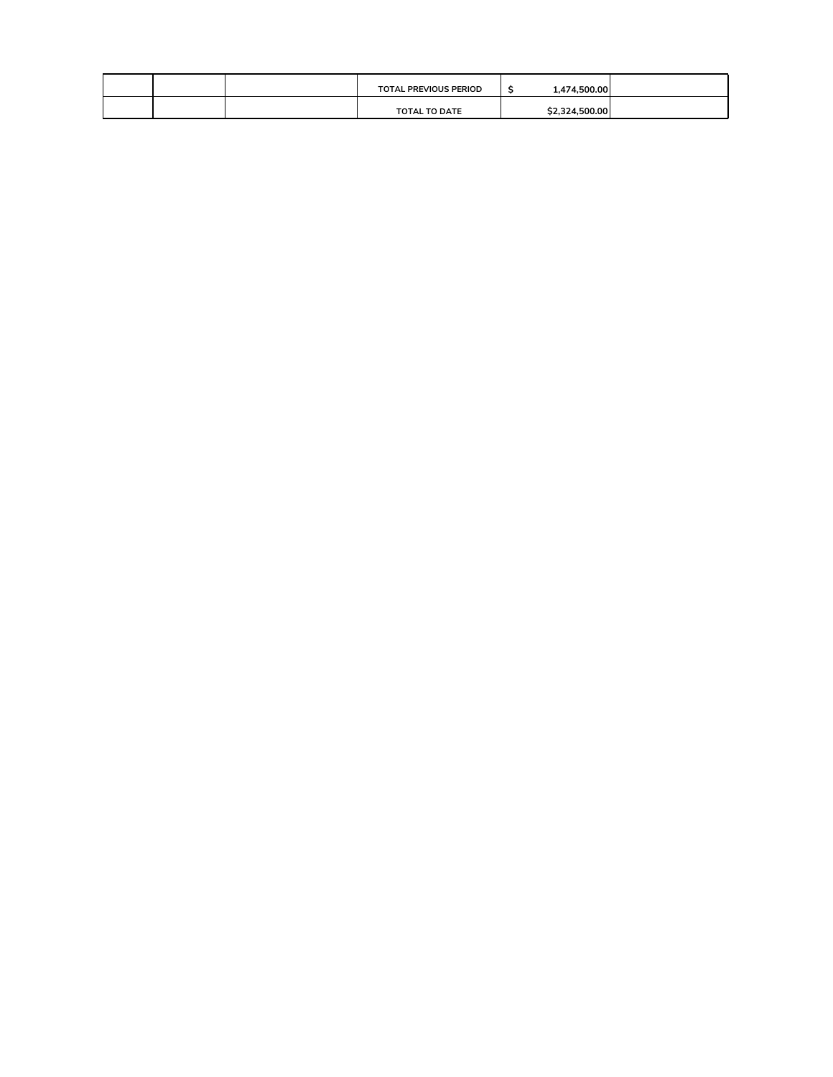|  | <b>TOTAL PREVIOUS PERIOD</b> | 1,474,500.00   |  |
|--|------------------------------|----------------|--|
|  | <b>TOTAL TO DATE</b>         | \$2,324,500.00 |  |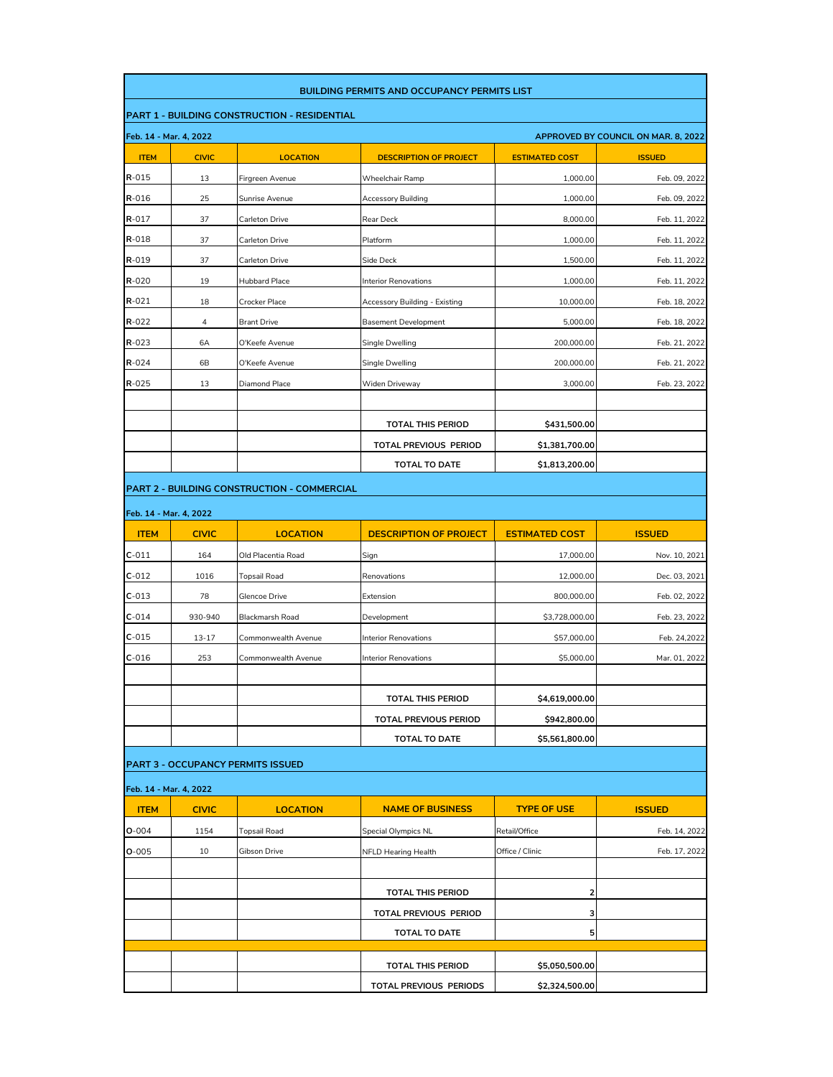|                                       | <b>BUILDING PERMITS AND OCCUPANCY PERMITS LIST</b> |                                                     |                               |                       |                                     |  |  |
|---------------------------------------|----------------------------------------------------|-----------------------------------------------------|-------------------------------|-----------------------|-------------------------------------|--|--|
|                                       |                                                    | <b>PART 1 - BUILDING CONSTRUCTION - RESIDENTIAL</b> |                               |                       |                                     |  |  |
| Feb. 14 - Mar. 4, 2022                |                                                    |                                                     |                               |                       | APPROVED BY COUNCIL ON MAR. 8, 2022 |  |  |
| <b>ITEM</b>                           | <b>CIVIC</b>                                       | <b>LOCATION</b>                                     | <b>DESCRIPTION OF PROJECT</b> | <b>ESTIMATED COST</b> | <b>ISSUED</b>                       |  |  |
| R-015                                 | 13                                                 | Firgreen Avenue                                     | Wheelchair Ramp               | 1,000.00              | Feb. 09, 2022                       |  |  |
| R-016                                 | 25                                                 | Sunrise Avenue                                      | Accessory Building            | 1,000.00              | Feb. 09, 2022                       |  |  |
| $R - 017$                             | 37                                                 | Carleton Drive                                      | Rear Deck                     | 8,000.00              | Feb. 11, 2022                       |  |  |
| R-018                                 | 37                                                 | Carleton Drive                                      | Platform                      | 1,000.00              | Feb. 11, 2022                       |  |  |
| R-019                                 | 37                                                 | Carleton Drive                                      | Side Deck                     | 1,500.00              | Feb. 11, 2022                       |  |  |
| $R - 020$                             | 19                                                 | <b>Hubbard Place</b>                                | Interior Renovations          | 1,000.00              | Feb. 11, 2022                       |  |  |
| $R - 021$                             | 18                                                 | Crocker Place                                       | Accessory Building - Existing | 10,000.00             | Feb. 18, 2022                       |  |  |
| $R - 022$                             | 4                                                  | <b>Brant Drive</b>                                  | <b>Basement Development</b>   | 5,000.00              | Feb. 18, 2022                       |  |  |
| $R - 023$                             | 6A                                                 | O'Keefe Avenue                                      | Single Dwelling               | 200,000.00            | Feb. 21, 2022                       |  |  |
| $R - 024$                             | 6B                                                 | O'Keefe Avenue                                      | Single Dwelling               | 200,000.00            | Feb. 21, 2022                       |  |  |
| $R - 025$                             | 13                                                 | Diamond Place                                       | Widen Driveway                | 3,000.00              | Feb. 23, 2022                       |  |  |
|                                       |                                                    |                                                     |                               |                       |                                     |  |  |
|                                       |                                                    |                                                     | <b>TOTAL THIS PERIOD</b>      | \$431,500.00          |                                     |  |  |
|                                       |                                                    |                                                     | TOTAL PREVIOUS PERIOD         | \$1,381,700.00        |                                     |  |  |
|                                       |                                                    |                                                     | <b>TOTAL TO DATE</b>          | \$1,813,200.00        |                                     |  |  |
|                                       |                                                    | <b>PART 2 - BUILDING CONSTRUCTION - COMMERCIAL</b>  |                               |                       |                                     |  |  |
|                                       |                                                    |                                                     |                               |                       |                                     |  |  |
| Feb. 14 - Mar. 4, 2022<br><b>ITEM</b> |                                                    | <b>LOCATION</b>                                     | <b>DESCRIPTION OF PROJECT</b> | <b>ESTIMATED COST</b> | <b>ISSUED</b>                       |  |  |
|                                       | <b>CIVIC</b>                                       |                                                     |                               |                       |                                     |  |  |
| $C-011$                               | 164                                                | Old Placentia Road                                  | Sign                          | 17,000.00             | Nov. 10, 2021                       |  |  |
| $C-012$                               | 1016                                               | <b>Topsail Road</b>                                 | Renovations                   | 12,000.00             | Dec. 03, 2021                       |  |  |
| $C-013$                               | 78                                                 | Glencoe Drive                                       | Extension                     | 800,000.00            | Feb. 02, 2022                       |  |  |
| $C-014$                               | 930-940                                            | Blackmarsh Road                                     | Development                   | \$3,728,000.00        | Feb. 23, 2022                       |  |  |
| $C-015$                               | 13-17                                              | Commonwealth Avenue                                 | <b>Interior Renovations</b>   | \$57,000.00           | Feb. 24,2022                        |  |  |
| $C-016$                               | 253                                                | Commonwealth Avenue                                 | <b>Interior Renovations</b>   | \$5,000.00            | Mar. 01, 2022                       |  |  |
|                                       |                                                    |                                                     |                               |                       |                                     |  |  |
|                                       |                                                    |                                                     | <b>TOTAL THIS PERIOD</b>      | \$4,619,000.00        |                                     |  |  |
|                                       |                                                    |                                                     | <b>TOTAL PREVIOUS PERIOD</b>  | \$942,800.00          |                                     |  |  |
|                                       |                                                    |                                                     | <b>TOTAL TO DATE</b>          | \$5,561,800.00        |                                     |  |  |
|                                       |                                                    | <b>PART 3 - OCCUPANCY PERMITS ISSUED</b>            |                               |                       |                                     |  |  |
| Feb. 14 - Mar. 4, 2022                |                                                    |                                                     |                               |                       |                                     |  |  |
| <b>ITEM</b>                           | <b>CIVIC</b>                                       | <b>LOCATION</b>                                     | <b>NAME OF BUSINESS</b>       | <b>TYPE OF USE</b>    | <b>ISSUED</b>                       |  |  |
| $O - 004$                             | 1154                                               | <b>Topsail Road</b>                                 | <b>Special Olympics NL</b>    | Retail/Office         | Feb. 14, 2022                       |  |  |
| $O - 005$                             | 10                                                 | Gibson Drive                                        | <b>NFLD Hearing Health</b>    | Office / Clinic       | Feb. 17, 2022                       |  |  |
|                                       |                                                    |                                                     |                               |                       |                                     |  |  |
|                                       |                                                    |                                                     | <b>TOTAL THIS PERIOD</b>      | 2                     |                                     |  |  |
|                                       |                                                    |                                                     | TOTAL PREVIOUS PERIOD         | 3                     |                                     |  |  |
|                                       |                                                    |                                                     | <b>TOTAL TO DATE</b>          | 5                     |                                     |  |  |
|                                       |                                                    |                                                     |                               |                       |                                     |  |  |
|                                       |                                                    |                                                     | <b>TOTAL THIS PERIOD</b>      | \$5,050,500.00        |                                     |  |  |
|                                       |                                                    |                                                     | TOTAL PREVIOUS PERIODS        | \$2,324,500.00        |                                     |  |  |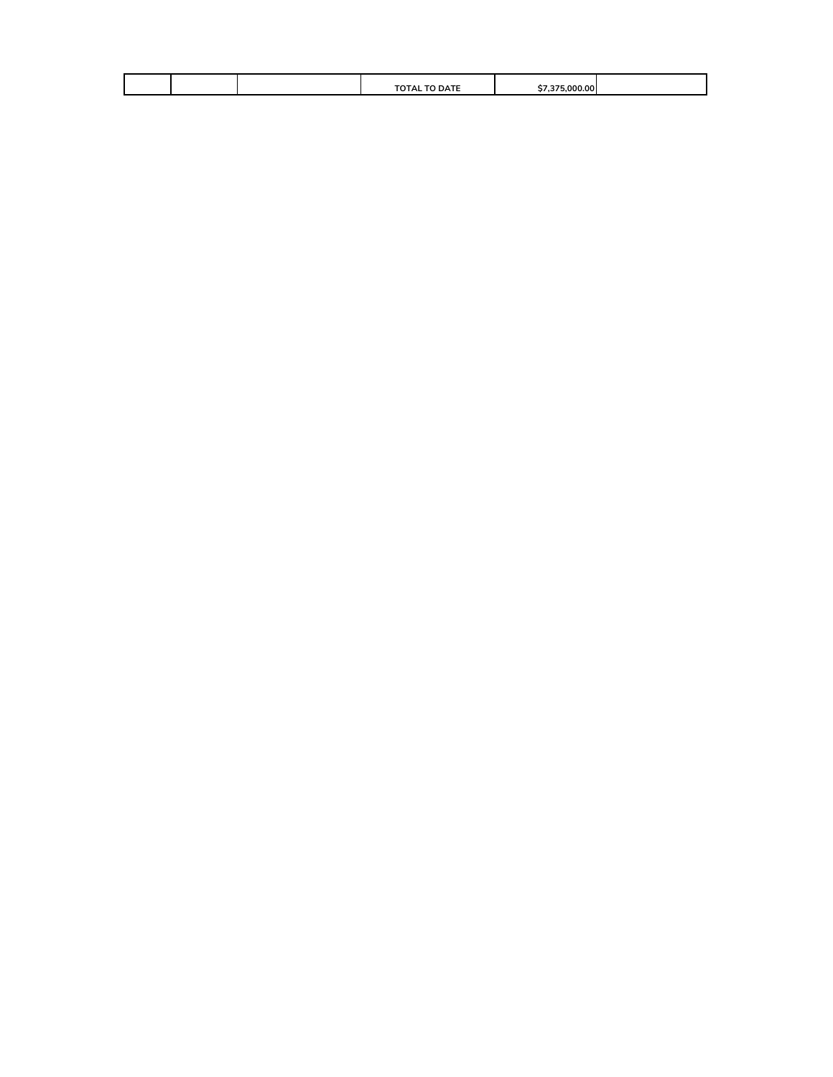|  | <b>TOTAL TO DATE</b> | nn<br>nn |  |
|--|----------------------|----------|--|
|  |                      |          |  |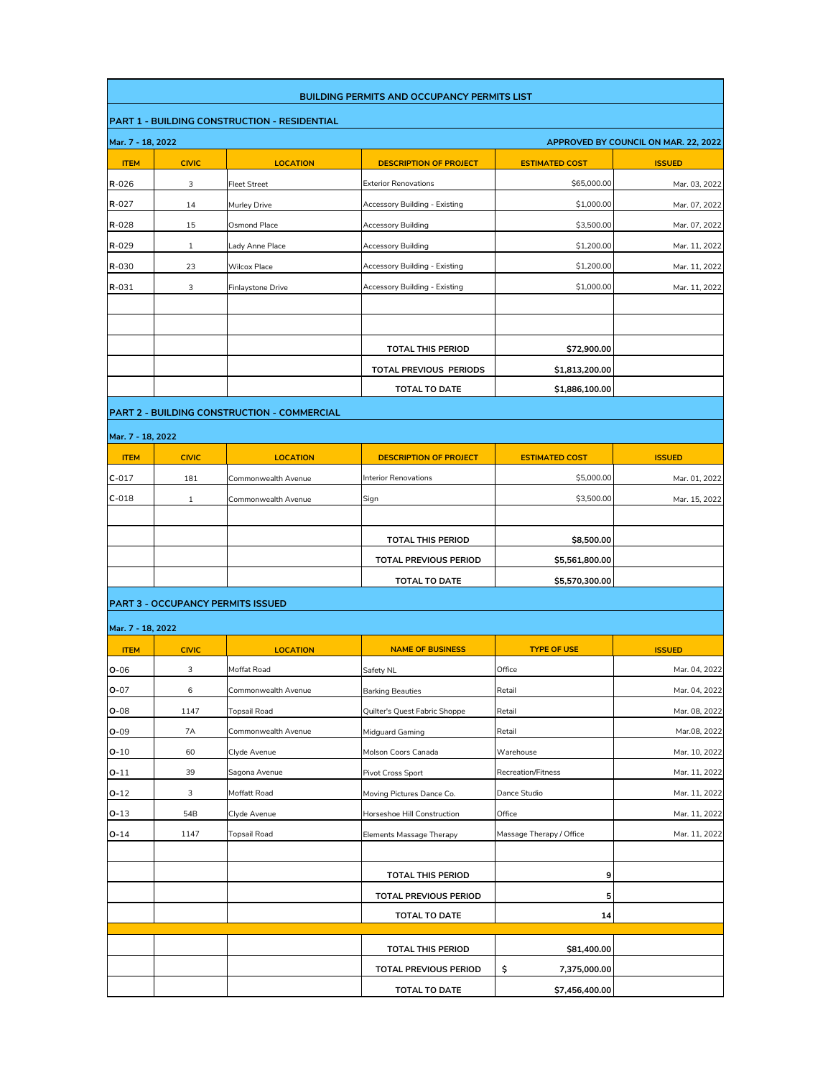| <b>BUILDING PERMITS AND OCCUPANCY PERMITS LIST</b> |              |                                                     |                                 |                           |                                      |
|----------------------------------------------------|--------------|-----------------------------------------------------|---------------------------------|---------------------------|--------------------------------------|
|                                                    |              | <b>PART 1 - BUILDING CONSTRUCTION - RESIDENTIAL</b> |                                 |                           |                                      |
| Mar. 7 - 18, 2022                                  |              |                                                     |                                 |                           | APPROVED BY COUNCIL ON MAR. 22, 2022 |
| <b>ITEM</b>                                        | <b>CIVIC</b> | <b>LOCATION</b>                                     | <b>DESCRIPTION OF PROJECT</b>   | <b>ESTIMATED COST</b>     | <b>ISSUED</b>                        |
| $R - 026$                                          | 3            | <b>Fleet Street</b>                                 | <b>Exterior Renovations</b>     | \$65,000.00               | Mar. 03, 2022                        |
| R-027                                              | 14           | Murley Drive                                        | Accessory Building - Existing   | \$1,000.00                | Mar. 07, 2022                        |
| R-028                                              | 15           | Osmond Place                                        | Accessory Building              | \$3,500.00                | Mar. 07, 2022                        |
| R-029                                              | $\mathbf{1}$ | Lady Anne Place                                     | Accessory Building              | \$1,200.00                | Mar. 11, 2022                        |
| R-030                                              | 23           | <b>Wilcox Place</b>                                 | Accessory Building - Existing   | \$1,200.00                | Mar. 11, 2022                        |
| R-031                                              | 3            | Finlaystone Drive                                   | Accessory Building - Existing   | \$1,000.00                | Mar. 11, 2022                        |
|                                                    |              |                                                     |                                 |                           |                                      |
|                                                    |              |                                                     |                                 |                           |                                      |
|                                                    |              |                                                     | <b>TOTAL THIS PERIOD</b>        | \$72,900.00               |                                      |
|                                                    |              |                                                     | TOTAL PREVIOUS PERIODS          | \$1,813,200.00            |                                      |
|                                                    |              |                                                     | <b>TOTAL TO DATE</b>            | \$1,886,100.00            |                                      |
|                                                    |              | <b>PART 2 - BUILDING CONSTRUCTION - COMMERCIAL</b>  |                                 |                           |                                      |
|                                                    |              |                                                     |                                 |                           |                                      |
| Mar. 7 - 18, 2022                                  |              |                                                     |                                 |                           |                                      |
| <b>ITEM</b>                                        | <b>CIVIC</b> | <b>LOCATION</b>                                     | <b>DESCRIPTION OF PROJECT</b>   | <b>ESTIMATED COST</b>     | <b>ISSUED</b>                        |
| $C-017$                                            | 181          | Commonwealth Avenue                                 | <b>Interior Renovations</b>     | \$5,000.00                | Mar. 01, 2022                        |
| $C-018$                                            | $\mathbf{1}$ | Commonwealth Avenue                                 | Sign                            | \$3,500.00                | Mar. 15, 2022                        |
|                                                    |              |                                                     |                                 |                           |                                      |
|                                                    |              |                                                     | <b>TOTAL THIS PERIOD</b>        | \$8,500.00                |                                      |
|                                                    |              |                                                     | TOTAL PREVIOUS PERIOD           | \$5,561,800.00            |                                      |
|                                                    |              |                                                     | <b>TOTAL TO DATE</b>            | \$5,570,300.00            |                                      |
|                                                    |              | <b>PART 3 - OCCUPANCY PERMITS ISSUED</b>            |                                 |                           |                                      |
| Mar. 7 - 18, 2022                                  |              |                                                     |                                 |                           |                                      |
| <b>ITEM</b>                                        | <b>CIVIC</b> | <b>LOCATION</b>                                     | <b>NAME OF BUSINESS</b>         | <b>TYPE OF USE</b>        | <b>ISSUED</b>                        |
| $O-06$                                             | 3            | Moffat Road                                         | Safety NL                       | Office                    | Mar. 04, 2022                        |
| $O - O7$                                           | 6            | Commonwealth Avenue                                 | <b>Barking Beauties</b>         | Retail                    | Mar. 04, 2022                        |
| $O - 08$                                           | 1147         | <b>Topsail Road</b>                                 | Quilter's Quest Fabric Shoppe   | Retail                    | Mar. 08, 2022                        |
| $O - O9$                                           | 7A           | Commonwealth Avenue                                 | Midguard Gaming                 | Retail                    | Mar.08, 2022                         |
| $O-10$                                             | 60           | Clyde Avenue                                        | Molson Coors Canada             | Warehouse                 | Mar. 10, 2022                        |
| $O-11$                                             | 39           | Sagona Avenue                                       | Pivot Cross Sport               | <b>Recreation/Fitness</b> | Mar. 11, 2022                        |
| $O-12$                                             | 3            | Moffatt Road                                        | Moving Pictures Dance Co.       | Dance Studio              | Mar. 11, 2022                        |
| $O-13$                                             | 54B          | Clyde Avenue                                        | Horseshoe Hill Construction     | Office                    | Mar. 11, 2022                        |
| O-14                                               | 1147         | <b>Topsail Road</b>                                 | <b>Elements Massage Therapy</b> | Massage Therapy / Office  | Mar. 11, 2022                        |
|                                                    |              |                                                     |                                 |                           |                                      |
|                                                    |              |                                                     | <b>TOTAL THIS PERIOD</b>        | 9                         |                                      |
|                                                    |              |                                                     | TOTAL PREVIOUS PERIOD           | 5                         |                                      |
|                                                    |              |                                                     | <b>TOTAL TO DATE</b>            | 14                        |                                      |
|                                                    |              |                                                     |                                 |                           |                                      |
|                                                    |              |                                                     | <b>TOTAL THIS PERIOD</b>        | \$81,400.00               |                                      |
|                                                    |              |                                                     | TOTAL PREVIOUS PERIOD           | \$<br>7,375,000.00        |                                      |
|                                                    |              |                                                     | TOTAL TO DATE                   | \$7,456,400.00            |                                      |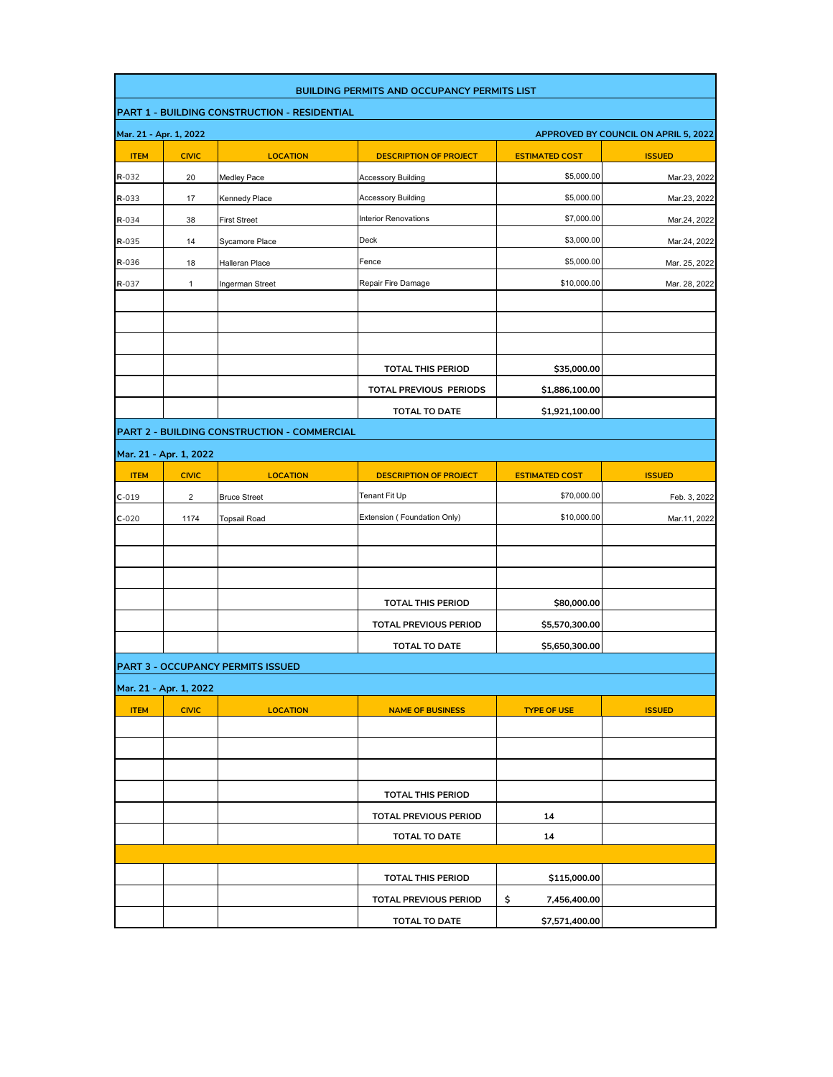|             | <b>BUILDING PERMITS AND OCCUPANCY PERMITS LIST</b>             |                                             |                               |                       |               |  |  |
|-------------|----------------------------------------------------------------|---------------------------------------------|-------------------------------|-----------------------|---------------|--|--|
|             | PART 1 - BUILDING CONSTRUCTION - RESIDENTIAL                   |                                             |                               |                       |               |  |  |
|             | Mar. 21 - Apr. 1, 2022<br>APPROVED BY COUNCIL ON APRIL 5, 2022 |                                             |                               |                       |               |  |  |
| <b>ITEM</b> | <b>CIVIC</b>                                                   | <b>LOCATION</b>                             | <b>DESCRIPTION OF PROJECT</b> | <b>ESTIMATED COST</b> | <b>ISSUED</b> |  |  |
| R-032       | 20                                                             | Medley Pace                                 | <b>Accessory Building</b>     | \$5,000.00            | Mar.23, 2022  |  |  |
| R-033       | 17                                                             | Kennedy Place                               | <b>Accessory Building</b>     | \$5,000.00            | Mar.23, 2022  |  |  |
| R-034       | 38                                                             | <b>First Street</b>                         | <b>Interior Renovations</b>   | \$7,000.00            | Mar.24, 2022  |  |  |
| R-035       | 14                                                             | Sycamore Place                              | Deck                          | \$3,000.00            | Mar.24, 2022  |  |  |
| R-036       | 18                                                             | Halleran Place                              | Fence                         | \$5,000.00            | Mar. 25, 2022 |  |  |
| R-037       | 1                                                              | Ingerman Street                             | Repair Fire Damage            | \$10,000.00           | Mar. 28, 2022 |  |  |
|             |                                                                |                                             |                               |                       |               |  |  |
|             |                                                                |                                             |                               |                       |               |  |  |
|             |                                                                |                                             |                               |                       |               |  |  |
|             |                                                                |                                             | <b>TOTAL THIS PERIOD</b>      | \$35,000.00           |               |  |  |
|             |                                                                |                                             | TOTAL PREVIOUS PERIODS        | \$1,886,100.00        |               |  |  |
|             |                                                                |                                             | <b>TOTAL TO DATE</b>          | \$1,921,100.00        |               |  |  |
|             |                                                                | PART 2 - BUILDING CONSTRUCTION - COMMERCIAL |                               |                       |               |  |  |
|             | Mar. 21 - Apr. 1, 2022                                         |                                             |                               |                       |               |  |  |
| <b>ITEM</b> | <b>CIVIC</b>                                                   | <b>LOCATION</b>                             | <b>DESCRIPTION OF PROJECT</b> | <b>ESTIMATED COST</b> | <b>ISSUED</b> |  |  |
| $C-019$     | $\overline{c}$                                                 | <b>Bruce Street</b>                         | Tenant Fit Up                 | \$70,000.00           | Feb. 3, 2022  |  |  |
| $C-020$     | 1174                                                           | <b>Topsail Road</b>                         | Extension (Foundation Only)   | \$10,000.00           | Mar.11, 2022  |  |  |
|             |                                                                |                                             |                               |                       |               |  |  |
|             |                                                                |                                             |                               |                       |               |  |  |
|             |                                                                |                                             |                               |                       |               |  |  |
|             |                                                                |                                             | <b>TOTAL THIS PERIOD</b>      | \$80,000.00           |               |  |  |
|             |                                                                |                                             | <b>TOTAL PREVIOUS PERIOD</b>  | \$5,570,300.00        |               |  |  |
|             |                                                                |                                             | TOTAL TO DATE                 | \$5,650,300.00        |               |  |  |
|             |                                                                | <b>PART 3 - OCCUPANCY PERMITS ISSUED</b>    |                               |                       |               |  |  |
|             | Mar. 21 - Apr. 1, 2022                                         |                                             |                               |                       |               |  |  |
| <b>ITEM</b> | <b>CIVIC</b>                                                   | <b>LOCATION</b>                             | <b>NAME OF BUSINESS</b>       | <b>TYPE OF USE</b>    | <b>ISSUED</b> |  |  |
|             |                                                                |                                             |                               |                       |               |  |  |
|             |                                                                |                                             |                               |                       |               |  |  |
|             |                                                                |                                             |                               |                       |               |  |  |
|             |                                                                |                                             | <b>TOTAL THIS PERIOD</b>      |                       |               |  |  |
|             |                                                                |                                             | <b>TOTAL PREVIOUS PERIOD</b>  | 14                    |               |  |  |
|             |                                                                |                                             | TOTAL TO DATE                 | 14                    |               |  |  |
|             |                                                                |                                             |                               |                       |               |  |  |
|             |                                                                |                                             | <b>TOTAL THIS PERIOD</b>      | \$115,000.00          |               |  |  |
|             |                                                                |                                             | <b>TOTAL PREVIOUS PERIOD</b>  | \$<br>7,456,400.00    |               |  |  |
|             |                                                                |                                             | TOTAL TO DATE                 | \$7,571,400.00        |               |  |  |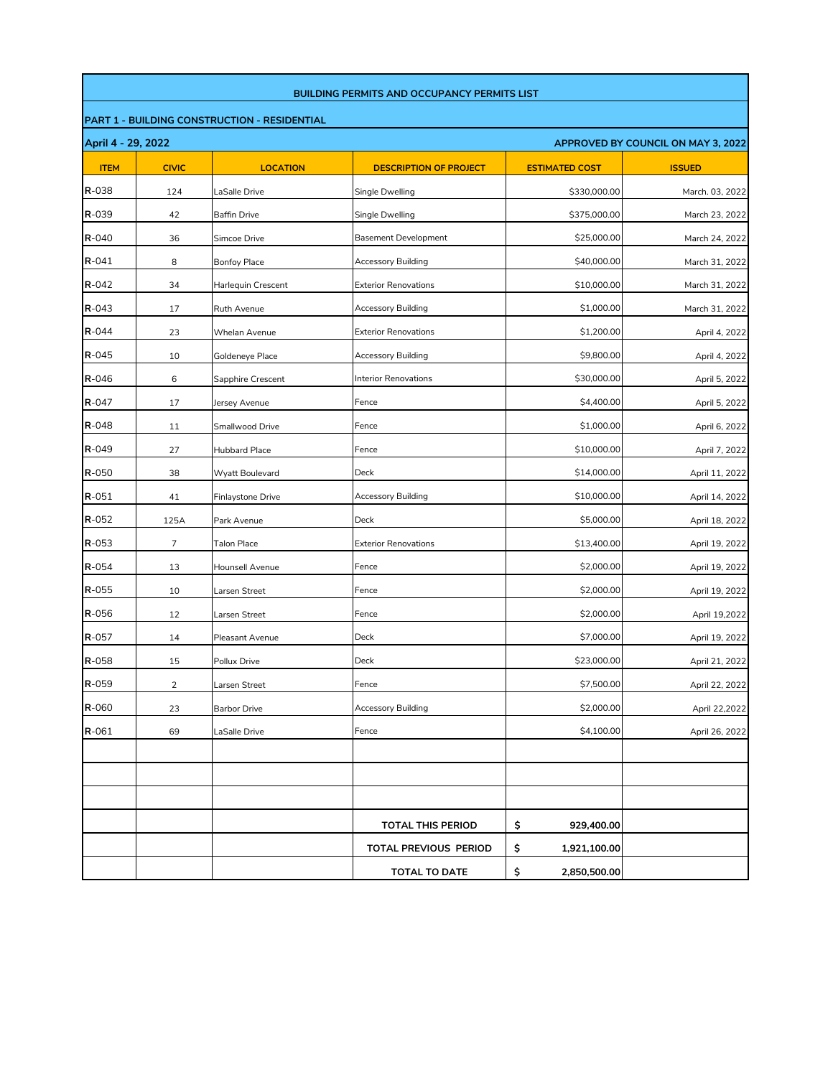|                                                          | <b>BUILDING PERMITS AND OCCUPANCY PERMITS LIST</b>  |                      |                               |                       |                 |  |  |  |  |
|----------------------------------------------------------|-----------------------------------------------------|----------------------|-------------------------------|-----------------------|-----------------|--|--|--|--|
|                                                          | <b>PART 1 - BUILDING CONSTRUCTION - RESIDENTIAL</b> |                      |                               |                       |                 |  |  |  |  |
| April 4 - 29, 2022<br>APPROVED BY COUNCIL ON MAY 3, 2022 |                                                     |                      |                               |                       |                 |  |  |  |  |
| <b>ITEM</b>                                              | <b>CIVIC</b>                                        | <b>LOCATION</b>      | <b>DESCRIPTION OF PROJECT</b> | <b>ESTIMATED COST</b> | <b>ISSUED</b>   |  |  |  |  |
| R-038                                                    | 124                                                 | LaSalle Drive        | Single Dwelling               | \$330,000.00          | March. 03, 2022 |  |  |  |  |
| $R - 039$                                                | 42                                                  | <b>Baffin Drive</b>  | Single Dwelling               | \$375,000.00          | March 23, 2022  |  |  |  |  |
| R-040                                                    | 36                                                  | Simcoe Drive         | <b>Basement Development</b>   | \$25,000.00           | March 24, 2022  |  |  |  |  |
| $R - 041$                                                | 8                                                   | <b>Bonfoy Place</b>  | <b>Accessory Building</b>     | \$40,000.00           | March 31, 2022  |  |  |  |  |
| $R - 042$                                                | 34                                                  | Harlequin Crescent   | <b>Exterior Renovations</b>   | \$10,000.00           | March 31, 2022  |  |  |  |  |
| $R - 043$                                                | 17                                                  | Ruth Avenue          | Accessory Building            | \$1,000.00            | March 31, 2022  |  |  |  |  |
| $R - 044$                                                | 23                                                  | Whelan Avenue        | <b>Exterior Renovations</b>   | \$1,200.00            | April 4, 2022   |  |  |  |  |
| $R - 045$                                                | 10                                                  | Goldeneye Place      | Accessory Building            | \$9,800.00            | April 4, 2022   |  |  |  |  |
| $R - 046$                                                | 6                                                   | Sapphire Crescent    | <b>Interior Renovations</b>   | \$30,000.00           | April 5, 2022   |  |  |  |  |
| $R - 047$                                                | 17                                                  | Jersey Avenue        | Fence                         | \$4,400.00            | April 5, 2022   |  |  |  |  |
| $R - 048$                                                | 11                                                  | Smallwood Drive      | Fence                         | \$1,000.00            | April 6, 2022   |  |  |  |  |
| R-049                                                    | 27                                                  | <b>Hubbard Place</b> | Fence                         | \$10,000.00           | April 7, 2022   |  |  |  |  |
| R-050                                                    | 38                                                  | Wyatt Boulevard      | Deck                          | \$14,000.00           | April 11, 2022  |  |  |  |  |
| $R - 051$                                                | 41                                                  | Finlaystone Drive    | Accessory Building            | \$10,000.00           | April 14, 2022  |  |  |  |  |
| R-052                                                    | 125A                                                | Park Avenue          | Deck                          | \$5,000.00            | April 18, 2022  |  |  |  |  |
| $R - 053$                                                | 7                                                   | Talon Place          | <b>Exterior Renovations</b>   | \$13,400.00           | April 19, 2022  |  |  |  |  |
| R-054                                                    | 13                                                  | Hounsell Avenue      | Fence                         | \$2,000.00            | April 19, 2022  |  |  |  |  |
| R-055                                                    | 10                                                  | Larsen Street        | Fence                         | \$2,000.00            | April 19, 2022  |  |  |  |  |
| R-056                                                    | 12                                                  | Larsen Street        | Fence                         | \$2,000.00            | April 19,2022   |  |  |  |  |
| R-057                                                    | 14                                                  | Pleasant Avenue      | Deck                          | \$7,000.00            | April 19, 2022  |  |  |  |  |
| R-058                                                    | 15                                                  | Pollux Drive         | Deck                          | \$23,000.00           | April 21, 2022  |  |  |  |  |
| R-059                                                    | $\overline{2}$                                      | Larsen Street        | Fence                         | \$7,500.00            | April 22, 2022  |  |  |  |  |
| R-060                                                    | 23                                                  | <b>Barbor Drive</b>  | Accessory Building            | \$2,000.00            | April 22,2022   |  |  |  |  |
| R-061                                                    | 69                                                  | LaSalle Drive        | Fence                         | \$4,100.00            | April 26, 2022  |  |  |  |  |
|                                                          |                                                     |                      |                               |                       |                 |  |  |  |  |
|                                                          |                                                     |                      |                               |                       |                 |  |  |  |  |
|                                                          |                                                     |                      |                               |                       |                 |  |  |  |  |
|                                                          |                                                     |                      | <b>TOTAL THIS PERIOD</b>      | \$<br>929,400.00      |                 |  |  |  |  |
|                                                          |                                                     |                      | TOTAL PREVIOUS PERIOD         | \$<br>1,921,100.00    |                 |  |  |  |  |
|                                                          |                                                     |                      | <b>TOTAL TO DATE</b>          | \$<br>2,850,500.00    |                 |  |  |  |  |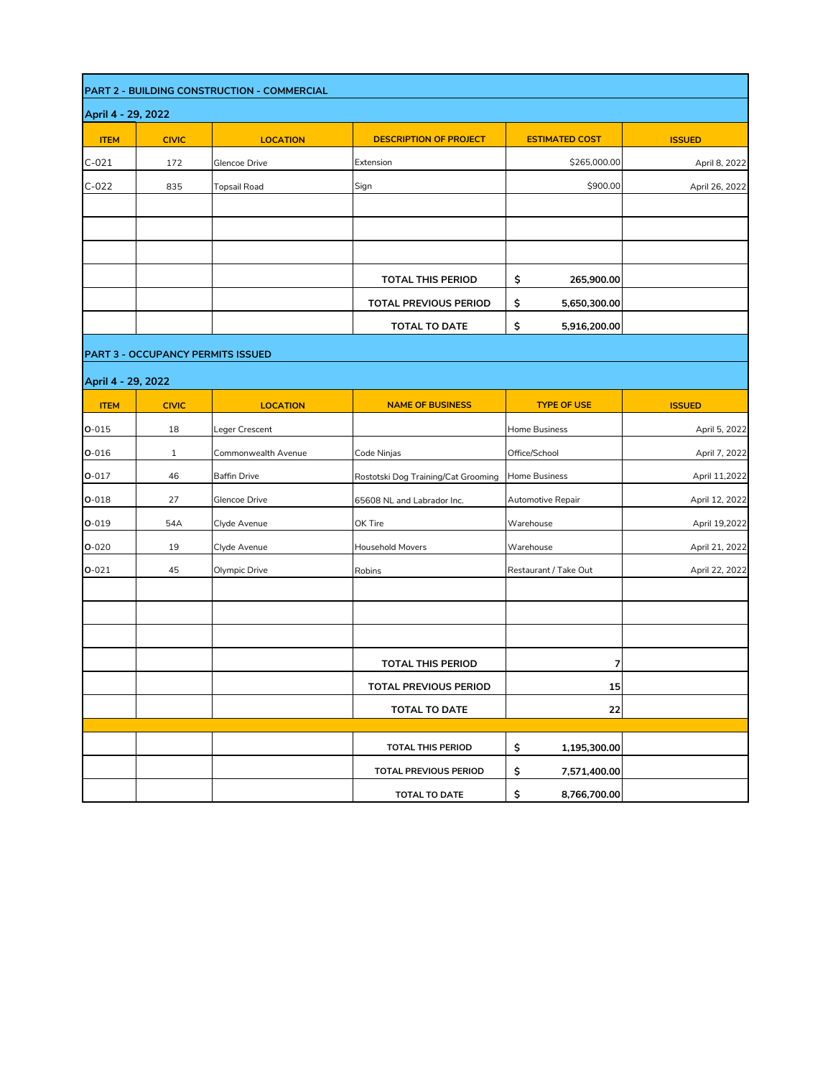|                    |                    | PART 2 - BUILDING CONSTRUCTION - COMMERCIAL |                                     |                       |                |  |  |  |  |
|--------------------|--------------------|---------------------------------------------|-------------------------------------|-----------------------|----------------|--|--|--|--|
|                    | April 4 - 29, 2022 |                                             |                                     |                       |                |  |  |  |  |
| <b>ITEM</b>        | <b>CIVIC</b>       | <b>LOCATION</b>                             | <b>DESCRIPTION OF PROJECT</b>       | <b>ESTIMATED COST</b> | <b>ISSUED</b>  |  |  |  |  |
| $C-021$            | 172                | Glencoe Drive                               | Extension                           | \$265,000.00          | April 8, 2022  |  |  |  |  |
| $C-022$            | 835                | <b>Topsail Road</b>                         | Sign                                | \$900.00              | April 26, 2022 |  |  |  |  |
|                    |                    |                                             |                                     |                       |                |  |  |  |  |
|                    |                    |                                             |                                     |                       |                |  |  |  |  |
|                    |                    |                                             |                                     |                       |                |  |  |  |  |
|                    |                    |                                             | <b>TOTAL THIS PERIOD</b>            | \$<br>265,900.00      |                |  |  |  |  |
|                    |                    |                                             | TOTAL PREVIOUS PERIOD               | \$<br>5,650,300.00    |                |  |  |  |  |
|                    |                    |                                             | <b>TOTAL TO DATE</b>                | \$<br>5,916,200.00    |                |  |  |  |  |
|                    |                    | <b>PART 3 - OCCUPANCY PERMITS ISSUED</b>    |                                     |                       |                |  |  |  |  |
| April 4 - 29, 2022 |                    |                                             |                                     |                       |                |  |  |  |  |
| <b>ITEM</b>        | <b>CIVIC</b>       | <b>LOCATION</b>                             | <b>NAME OF BUSINESS</b>             | <b>TYPE OF USE</b>    | <b>ISSUED</b>  |  |  |  |  |
| $O - 015$          | 18                 | Leger Crescent                              |                                     | Home Business         | April 5, 2022  |  |  |  |  |
| $O - 016$          | $\mathbf{1}$       | Commonwealth Avenue                         | Code Ninjas                         | Office/School         | April 7, 2022  |  |  |  |  |
| $O - 017$          | 46                 | <b>Baffin Drive</b>                         | Rostotski Dog Training/Cat Grooming | Home Business         | April 11,2022  |  |  |  |  |
| $O - 018$          | 27                 | Glencoe Drive                               | 65608 NL and Labrador Inc.          | Automotive Repair     | April 12, 2022 |  |  |  |  |
| $O - 019$          | 54A                | Clyde Avenue                                | OK Tire                             | Warehouse             | April 19,2022  |  |  |  |  |
| $O - 020$          | 19                 | Clyde Avenue                                | <b>Household Movers</b>             | Warehouse             | April 21, 2022 |  |  |  |  |
| $O-021$            | 45                 | Olympic Drive                               | Robins                              | Restaurant / Take Out | April 22, 2022 |  |  |  |  |
|                    |                    |                                             |                                     |                       |                |  |  |  |  |
|                    |                    |                                             |                                     |                       |                |  |  |  |  |
|                    |                    |                                             |                                     |                       |                |  |  |  |  |
|                    |                    |                                             | <b>TOTAL THIS PERIOD</b>            | 7                     |                |  |  |  |  |
|                    |                    |                                             | TOTAL PREVIOUS PERIOD               | 15                    |                |  |  |  |  |
|                    |                    |                                             | <b>TOTAL TO DATE</b>                | 22                    |                |  |  |  |  |
|                    |                    |                                             |                                     |                       |                |  |  |  |  |
|                    |                    |                                             | <b>TOTAL THIS PERIOD</b>            | \$<br>1,195,300.00    |                |  |  |  |  |
|                    |                    |                                             | TOTAL PREVIOUS PERIOD               | \$<br>7,571,400.00    |                |  |  |  |  |
|                    |                    |                                             | TOTAL TO DATE                       | \$<br>8,766,700.00    |                |  |  |  |  |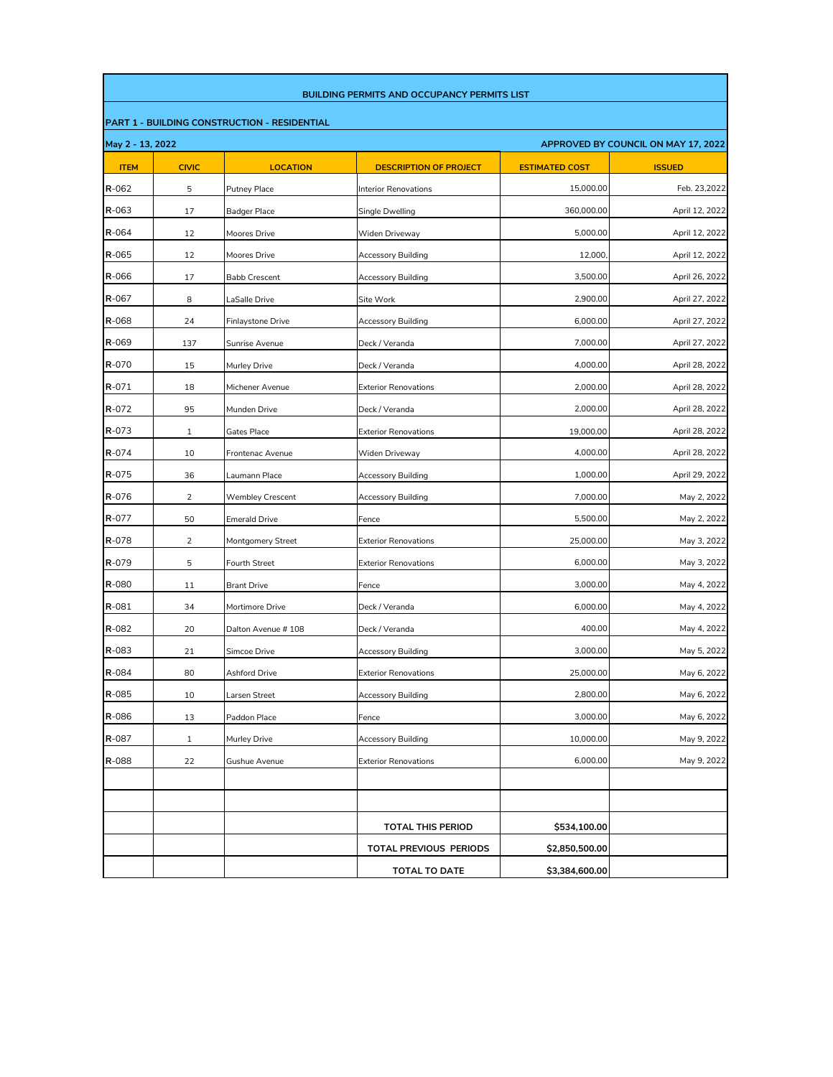|                                                     | <b>BUILDING PERMITS AND OCCUPANCY PERMITS LIST</b>      |                         |                               |                       |                |  |  |  |
|-----------------------------------------------------|---------------------------------------------------------|-------------------------|-------------------------------|-----------------------|----------------|--|--|--|
| <b>PART 1 - BUILDING CONSTRUCTION - RESIDENTIAL</b> |                                                         |                         |                               |                       |                |  |  |  |
|                                                     | May 2 - 13, 2022<br>APPROVED BY COUNCIL ON MAY 17, 2022 |                         |                               |                       |                |  |  |  |
| <b>ITEM</b>                                         | <b>CIVIC</b>                                            | <b>LOCATION</b>         | <b>DESCRIPTION OF PROJECT</b> | <b>ESTIMATED COST</b> | <b>ISSUED</b>  |  |  |  |
| R-062                                               | 5                                                       | Putney Place            | Interior Renovations          | 15,000.00             | Feb. 23,2022   |  |  |  |
| $R - 063$                                           | 17                                                      | <b>Badger Place</b>     | Single Dwelling               | 360,000.00            | April 12, 2022 |  |  |  |
| $R - 064$                                           | 12                                                      | Moores Drive            | Widen Driveway                | 5,000.00              | April 12, 2022 |  |  |  |
| $R - 065$                                           | 12                                                      | Moores Drive            | <b>Accessory Building</b>     | 12,000,               | April 12, 2022 |  |  |  |
| R-066                                               | 17                                                      | <b>Babb Crescent</b>    | <b>Accessory Building</b>     | 3,500.00              | April 26, 2022 |  |  |  |
| R-067                                               | 8                                                       | LaSalle Drive           | Site Work                     | 2,900.00              | April 27, 2022 |  |  |  |
| R-068                                               | 24                                                      | Finlaystone Drive       | Accessory Building            | 6,000.00              | April 27, 2022 |  |  |  |
| R-069                                               | 137                                                     | Sunrise Avenue          | Deck / Veranda                | 7,000.00              | April 27, 2022 |  |  |  |
| R-070                                               | 15                                                      | Murley Drive            | Deck / Veranda                | 4,000.00              | April 28, 2022 |  |  |  |
| $R - 071$                                           | 18                                                      | Michener Avenue         | <b>Exterior Renovations</b>   | 2.000.00              | April 28, 2022 |  |  |  |
| R-072                                               | 95                                                      | Munden Drive            | Deck / Veranda                | 2,000.00              | April 28, 2022 |  |  |  |
| $R - 073$                                           | 1                                                       | Gates Place             | <b>Exterior Renovations</b>   | 19,000.00             | April 28, 2022 |  |  |  |
| R-074                                               | 10                                                      | Frontenac Avenue        | Widen Driveway                | 4,000.00              | April 28, 2022 |  |  |  |
| R-075                                               | 36                                                      | Laumann Place           | <b>Accessory Building</b>     | 1,000.00              | April 29, 2022 |  |  |  |
| R-076                                               | 2                                                       | <b>Wembley Crescent</b> | Accessory Building            | 7,000.00              | May 2, 2022    |  |  |  |
| R-077                                               | 50                                                      | <b>Emerald Drive</b>    | Fence                         | 5,500.00              | May 2, 2022    |  |  |  |
| <b>R-078</b>                                        | $\overline{2}$                                          | Montgomery Street       | <b>Exterior Renovations</b>   | 25,000.00             | May 3, 2022    |  |  |  |
| $R - 079$                                           | 5                                                       | <b>Fourth Street</b>    | <b>Exterior Renovations</b>   | 6,000.00              | May 3, 2022    |  |  |  |
| R-080                                               | 11                                                      | <b>Brant Drive</b>      | Fence                         | 3,000.00              | May 4, 2022    |  |  |  |
| R-081                                               | 34                                                      | Mortimore Drive         | Deck / Veranda                | 6,000.00              | May 4, 2022    |  |  |  |
| R-082                                               | 20                                                      | Dalton Avenue # 108     | Deck / Veranda                | 400.00                | May 4, 2022    |  |  |  |
| $R - 083$                                           | 21                                                      | Simcoe Drive            | Accessory Building            | 3,000.00              | May 5, 2022    |  |  |  |
| R-084                                               | 80                                                      | Ashford Drive           | <b>Exterior Renovations</b>   | 25,000.00             | May 6, 2022    |  |  |  |
| R-085                                               | 10                                                      | Larsen Street           | Accessory Building            | 2,800.00              | May 6, 2022    |  |  |  |
| R-086                                               | 13                                                      | Paddon Place            | Fence                         | 3,000.00              | May 6, 2022    |  |  |  |
| R-087                                               | $\mathbf{1}$                                            | Murley Drive            | Accessory Building            | 10,000.00             | May 9, 2022    |  |  |  |
| R-088                                               | 22                                                      | Gushue Avenue           | <b>Exterior Renovations</b>   | 6,000.00              | May 9, 2022    |  |  |  |
|                                                     |                                                         |                         |                               |                       |                |  |  |  |
|                                                     |                                                         |                         |                               |                       |                |  |  |  |
|                                                     |                                                         |                         | <b>TOTAL THIS PERIOD</b>      | \$534,100.00          |                |  |  |  |
|                                                     |                                                         |                         | TOTAL PREVIOUS PERIODS        | \$2,850,500.00        |                |  |  |  |
|                                                     |                                                         |                         | <b>TOTAL TO DATE</b>          | \$3,384,600.00        |                |  |  |  |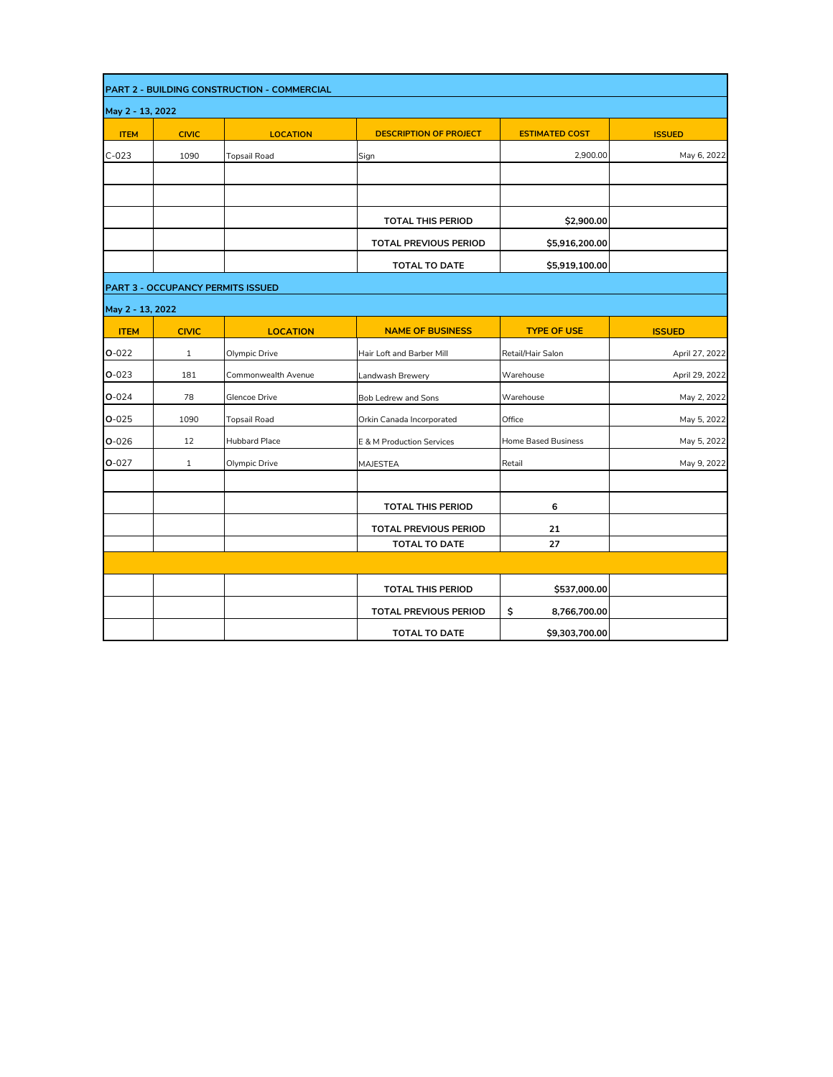|                  |                                          | PART 2 - BUILDING CONSTRUCTION - COMMERCIAL |                               |                       |                |
|------------------|------------------------------------------|---------------------------------------------|-------------------------------|-----------------------|----------------|
| May 2 - 13, 2022 |                                          |                                             |                               |                       |                |
| <b>ITEM</b>      | <b>CIVIC</b>                             | <b>LOCATION</b>                             | <b>DESCRIPTION OF PROJECT</b> | <b>ESTIMATED COST</b> | <b>ISSUED</b>  |
| $C-023$          | 1090                                     | <b>Topsail Road</b>                         | Sign                          | 2,900.00              | May 6, 2022    |
|                  |                                          |                                             |                               |                       |                |
|                  |                                          |                                             |                               |                       |                |
|                  |                                          |                                             | <b>TOTAL THIS PERIOD</b>      | \$2,900.00            |                |
|                  |                                          |                                             | <b>TOTAL PREVIOUS PERIOD</b>  | \$5,916,200.00        |                |
|                  |                                          |                                             | <b>TOTAL TO DATE</b>          | \$5,919,100.00        |                |
|                  | <b>PART 3 - OCCUPANCY PERMITS ISSUED</b> |                                             |                               |                       |                |
| May 2 - 13, 2022 |                                          |                                             |                               |                       |                |
| <b>ITEM</b>      | <b>CIVIC</b>                             | <b>LOCATION</b>                             | <b>NAME OF BUSINESS</b>       | <b>TYPE OF USE</b>    | <b>ISSUED</b>  |
| $O-022$          | $\mathbf{1}$                             | Olympic Drive                               | Hair Loft and Barber Mill     | Retail/Hair Salon     | April 27, 2022 |
| $O - 023$        | 181                                      | Commonwealth Avenue                         | Landwash Brewery              | Warehouse             | April 29, 2022 |
| $O - 024$        | 78                                       | Glencoe Drive                               | Bob Ledrew and Sons           | Warehouse             | May 2, 2022    |
| $O - 025$        | 1090                                     | <b>Topsail Road</b>                         | Orkin Canada Incorporated     | Office                | May 5, 2022    |
| $O - 026$        | 12                                       | Hubbard Place                               | E & M Production Services     | Home Based Business   | May 5, 2022    |
| $O - 027$        | $\mathbf{1}$                             | Olympic Drive                               | <b>MAJESTEA</b>               | Retail                | May 9, 2022    |
|                  |                                          |                                             |                               |                       |                |
|                  |                                          |                                             | <b>TOTAL THIS PERIOD</b>      | 6                     |                |
|                  |                                          |                                             | <b>TOTAL PREVIOUS PERIOD</b>  | 21                    |                |
|                  |                                          |                                             | <b>TOTAL TO DATE</b>          | 27                    |                |
|                  |                                          |                                             |                               |                       |                |
|                  |                                          |                                             | <b>TOTAL THIS PERIOD</b>      | \$537,000.00          |                |
|                  |                                          |                                             | <b>TOTAL PREVIOUS PERIOD</b>  | \$<br>8,766,700.00    |                |
|                  |                                          |                                             | <b>TOTAL TO DATE</b>          | \$9,303,700.00        |                |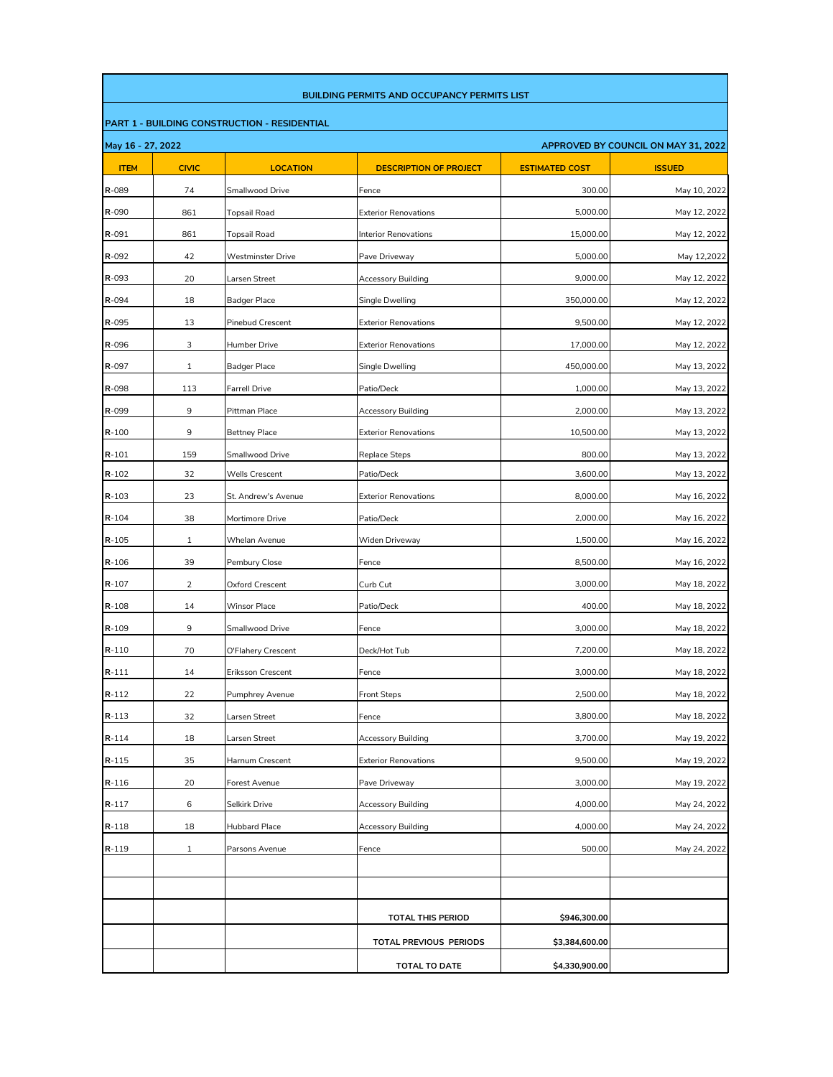|                   |                |                                              | <b>BUILDING PERMITS AND OCCUPANCY PERMITS LIST</b> |                       |                                     |
|-------------------|----------------|----------------------------------------------|----------------------------------------------------|-----------------------|-------------------------------------|
|                   |                | PART 1 - BUILDING CONSTRUCTION - RESIDENTIAL |                                                    |                       |                                     |
| May 16 - 27, 2022 |                |                                              |                                                    |                       | APPROVED BY COUNCIL ON MAY 31, 2022 |
| <b>ITEM</b>       | <b>CIVIC</b>   | <b>LOCATION</b>                              | <b>DESCRIPTION OF PROJECT</b>                      | <b>ESTIMATED COST</b> | <b>ISSUED</b>                       |
| R-089             | 74             | Smallwood Drive                              | Fence                                              | 300.00                | May 10, 2022                        |
| R-090             | 861            | <b>Topsail Road</b>                          | <b>Exterior Renovations</b>                        | 5,000.00              | May 12, 2022                        |
| R-091             | 861            | <b>Topsail Road</b>                          | <b>Interior Renovations</b>                        | 15,000.00             | May 12, 2022                        |
| R-092             | 42             | <b>Westminster Drive</b>                     | Pave Driveway                                      | 5,000.00              | May 12,2022                         |
| R-093             | 20             | Larsen Street                                | <b>Accessory Building</b>                          | 9,000.00              | May 12, 2022                        |
| R-094             | 18             | Badger Place                                 | Single Dwelling                                    | 350,000.00            | May 12, 2022                        |
| R-095             | 13             | <b>Pinebud Crescent</b>                      | <b>Exterior Renovations</b>                        | 9,500.00              | May 12, 2022                        |
| R-096             | 3              | Humber Drive                                 | <b>Exterior Renovations</b>                        | 17,000.00             | May 12, 2022                        |
| R-097             | 1              | Badger Place                                 | Single Dwelling                                    | 450,000.00            | May 13, 2022                        |
| R-098             | 113            | <b>Farrell Drive</b>                         | Patio/Deck                                         | 1,000.00              | May 13, 2022                        |
| R-099             | 9              | Pittman Place                                | <b>Accessory Building</b>                          | 2,000.00              | May 13, 2022                        |
| $R - 100$         | 9              | <b>Bettney Place</b>                         | <b>Exterior Renovations</b>                        | 10,500.00             | May 13, 2022                        |
| $R - 101$         | 159            | Smallwood Drive                              | <b>Replace Steps</b>                               | 800.00                | May 13, 2022                        |
| $R - 102$         | 32             | Wells Crescent                               | Patio/Deck                                         | 3,600.00              | May 13, 2022                        |
| $R - 103$         | 23             | St. Andrew's Avenue                          | <b>Exterior Renovations</b>                        | 8,000.00              | May 16, 2022                        |
| $R - 104$         | 38             | Mortimore Drive                              | Patio/Deck                                         | 2,000.00              | May 16, 2022                        |
| $R - 105$         | 1              | Whelan Avenue                                | Widen Driveway                                     | 1,500.00              | May 16, 2022                        |
| $R - 106$         | 39             | Pembury Close                                | Fence                                              | 8,500.00              | May 16, 2022                        |
| $R - 107$         | $\overline{2}$ | Oxford Crescent                              | Curb Cut                                           | 3,000.00              | May 18, 2022                        |
| $R-108$           | 14             | <b>Winsor Place</b>                          | Patio/Deck                                         | 400.00                | May 18, 2022                        |
| $R - 109$         | 9              | Smallwood Drive                              | Fence                                              | 3,000.00              | May 18, 2022                        |
| $R - 110$         | 70             | O'Flahery Crescent                           | Deck/Hot Tub                                       | 7,200.00              | May 18, 2022                        |
| $R - 111$         | 14             | Eriksson Crescent                            | Fence                                              | 3,000.00              | May 18, 2022                        |
| $R - 112$         | 22             | Pumphrey Avenue                              | <b>Front Steps</b>                                 | 2,500.00              | May 18, 2022                        |
| R-113             | 32             | Larsen Street                                | Fence                                              | 3,800.00              | May 18, 2022                        |
| R-114             | 18             | Larsen Street                                | <b>Accessory Building</b>                          | 3,700.00              | May 19, 2022                        |
| R-115             | 35             | Harnum Crescent                              | <b>Exterior Renovations</b>                        | 9,500.00              | May 19, 2022                        |
| R-116             | 20             | Forest Avenue                                | Pave Driveway                                      | 3,000.00              | May 19, 2022                        |
| $R-117$           | 6              | Selkirk Drive                                | <b>Accessory Building</b>                          | 4,000.00              | May 24, 2022                        |
| R-118             | 18             | Hubbard Place                                | Accessory Building                                 | 4,000.00              | May 24, 2022                        |
| R-119             | $\mathbf{1}$   | Parsons Avenue                               | Fence                                              | 500.00                | May 24, 2022                        |
|                   |                |                                              |                                                    |                       |                                     |
|                   |                |                                              |                                                    |                       |                                     |
|                   |                |                                              | <b>TOTAL THIS PERIOD</b>                           | \$946,300.00          |                                     |
|                   |                |                                              |                                                    |                       |                                     |
|                   |                |                                              | TOTAL PREVIOUS PERIODS                             | \$3,384,600.00        |                                     |
|                   |                |                                              | <b>TOTAL TO DATE</b>                               | \$4,330,900.00        |                                     |